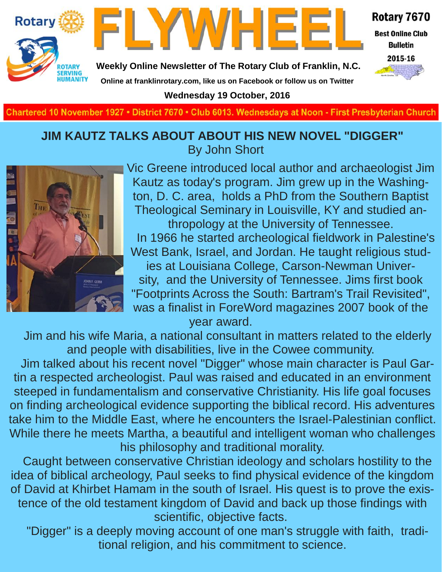



Rotary 7670

**Best Online Club Bulletin** 

2015-16

**Weekly Online Newsletter of The Rotary Club of Franklin, N.C.**

**Online at franklinrotary.com, like us on Facebook or follow us on Twitter**

**Wednesday 19 October, 2016**

**Charted November 29, 1927 • District 7670 • Club 6013 Wednesdays at Noon - First Presbyterian Church**

### **JIM KAUTZ TALKS ABOUT ABOUT HIS NEW NOVEL "DIGGER"** By John Short



Vic Greene introduced local author and archaeologist Jim Kautz as today's program. Jim grew up in the Washington, D. C. area, holds a PhD from the Southern Baptist Theological Seminary in Louisville, KY and studied anthropology at the University of Tennessee. In 1966 he started archeological fieldwork in Palestine's West Bank, Israel, and Jordan. He taught religious studies at Louisiana College, Carson-Newman University, and the University of Tennessee. Jims first book "Footprints Across the South: Bartram's Trail Revisited", was a finalist in ForeWord magazines 2007 book of the year award.

 Jim and his wife Maria, a national consultant in matters related to the elderly and people with disabilities, live in the Cowee community.

 Jim talked about his recent novel "Digger" whose main character is Paul Gartin a respected archeologist. Paul was raised and educated in an environment steeped in fundamentalism and conservative Christianity. His life goal focuses on finding archeological evidence supporting the biblical record. His adventures take him to the Middle East, where he encounters the Israel-Palestinian conflict. While there he meets Martha, a beautiful and intelligent woman who challenges his philosophy and traditional morality.

 Caught between conservative Christian ideology and scholars hostility to the idea of biblical archeology, Paul seeks to find physical evidence of the kingdom of David at Khirbet Hamam in the south of Israel. His quest is to prove the existence of the old testament kingdom of David and back up those findings with scientific, objective facts.

 "Digger" is a deeply moving account of one man's struggle with faith, traditional religion, and his commitment to science.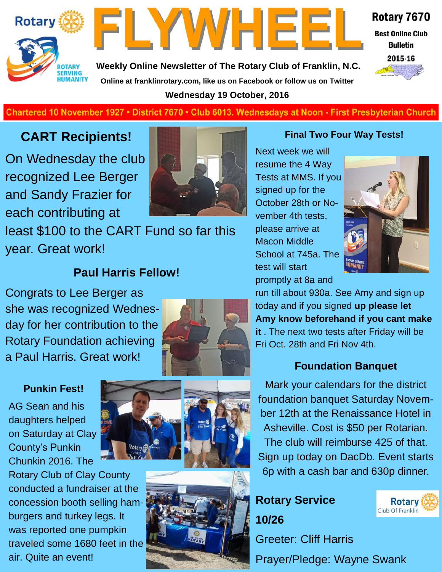



Rotary 7670

**Best Online Club Bulletin** 

2015-16

**Weekly Online Newsletter of The Rotary Club of Franklin, N.C. Online at franklinrotary.com, like us on Facebook or follow us on Twitter Wednesday 19 October, 2016**

#### **Charted November 29, 1927 • District 7670 • Club 6013 Wednesdays at Noon - First Presbyterian Church**

## **CART Recipients!**

On Wednesday the club recognized Lee Berger and Sandy Frazier for each contributing at



least \$100 to the CART Fund so far this year. Great work!

### **Paul Harris Fellow!**

Congrats to Lee Berger as she was recognized Wednesday for her contribution to the Rotary Foundation achieving a Paul Harris. Great work!



#### **Punkin Fest!**

AG Sean and his daughters helped on Saturday at Clay County's Punkin Chunkin 2016. The

Rotary Club of Clay County conducted a fundraiser at the concession booth selling hamburgers and turkey legs. It was reported one pumpkin traveled some 1680 feet in the air. Quite an event!





#### **Final Two Four Way Tests!**

Next week we will resume the 4 Way Tests at MMS. If you signed up for the October 28th or November 4th tests, please arrive at Macon Middle School at 745a. The test will start promptly at 8a and



run till about 930a. See Amy and sign up today and if you signed **up please let Amy know beforehand if you cant make it** . The next two tests after Friday will be Fri Oct. 28th and Fri Nov 4th.

#### **Foundation Banquet**

Mark your calendars for the district foundation banquet Saturday November 12th at the Renaissance Hotel in Asheville. Cost is \$50 per Rotarian. The club will reimburse 425 of that. Sign up today on DacDb. Event starts 6p with a cash bar and 630p dinner.

# **Rotary Service 10/26**



Greeter: Cliff Harris Prayer/Pledge: Wayne Swank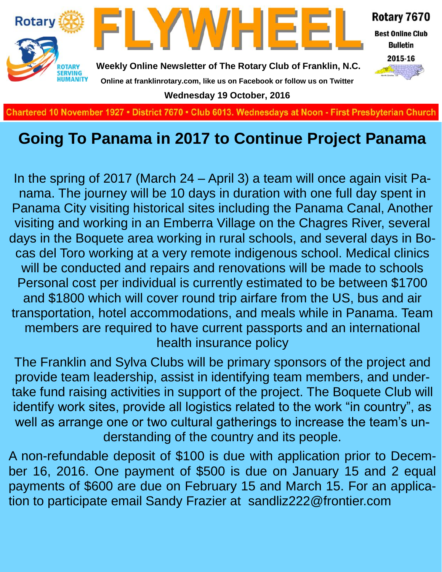

# **Going To Panama in 2017 to Continue Project Panama**

In the spring of 2017 (March 24 – April 3) a team will once again visit Panama. The journey will be 10 days in duration with one full day spent in Panama City visiting historical sites including the Panama Canal, Another visiting and working in an Emberra Village on the Chagres River, several days in the Boquete area working in rural schools, and several days in Bocas del Toro working at a very remote indigenous school. Medical clinics will be conducted and repairs and renovations will be made to schools Personal cost per individual is currently estimated to be between \$1700 and \$1800 which will cover round trip airfare from the US, bus and air transportation, hotel accommodations, and meals while in Panama. Team members are required to have current passports and an international health insurance policy

The Franklin and Sylva Clubs will be primary sponsors of the project and provide team leadership, assist in identifying team members, and undertake fund raising activities in support of the project. The Boquete Club will identify work sites, provide all logistics related to the work "in country", as well as arrange one or two cultural gatherings to increase the team's understanding of the country and its people.

A non-refundable deposit of \$100 is due with application prior to December 16, 2016. One payment of \$500 is due on January 15 and 2 equal payments of \$600 are due on February 15 and March 15. For an application to participate email Sandy Frazier at sandliz222@frontier.com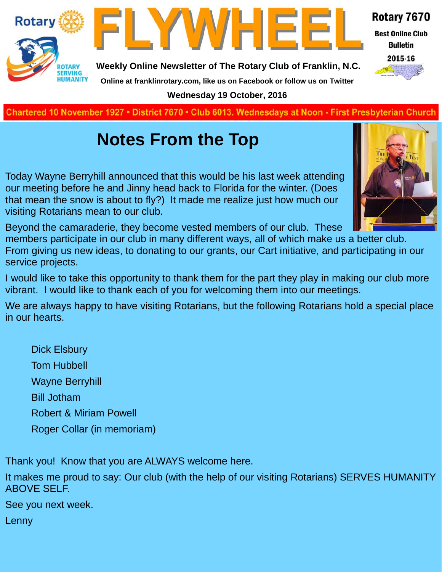



**Weekly Online Newsletter of The Rotary Club of Franklin, N.C.**

### Rotary 7670

**Best Online Club Bulletin** 



**Online at franklinrotary.com, like us on Facebook or follow us on Twitter Wednesday 19 October, 2016**

**Charted November 29, 1927 • District 7670 • Club 6013 Wednesdays at Noon - First Presbyterian Church**

# **Notes From the Top**

Today Wayne Berryhill announced that this would be his last week attending our meeting before he and Jinny head back to Florida for the winter. (Does that mean the snow is about to fly?) It made me realize just how much our

Beyond the camaraderie, they become vested members of our club. These

members participate in our club in many different ways, all of which make us a better club. From giving us new ideas, to donating to our grants, our Cart initiative, and participating in our service projects.

I would like to take this opportunity to thank them for the part they play in making our club more vibrant. I would like to thank each of you for welcoming them into our meetings.

We are always happy to have visiting Rotarians, but the following Rotarians hold a special place in our hearts.

Dick Elsbury Tom Hubbell Wayne Berryhill Bill Jotham Robert & Miriam Powell Roger Collar (in memoriam)

visiting Rotarians mean to our club.

Thank you! Know that you are ALWAYS welcome here.

It makes me proud to say: Our club (with the help of our visiting Rotarians) SERVES HUMANITY ABOVE SELF.

See you next week.

Lenny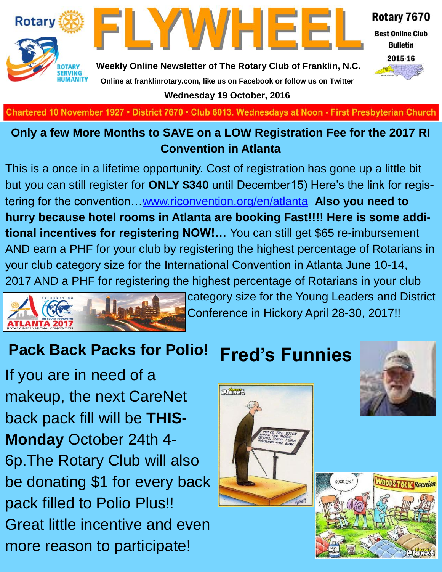



Rotary 7670

**Best Online Club Bulletin** 



**Weekly Online Newsletter of The Rotary Club of Franklin, N.C. Online at franklinrotary.com, like us on Facebook or follow us on Twitter**

**Wednesday 19 October, 2016**

**Charted November 29, 1927 • District 7670 • Club 6013 Wednesdays at Noon - First Presbyterian Church**

### **Only a few More Months to SAVE on a LOW Registration Fee for the 2017 RI Convention in Atlanta**

This is a once in a lifetime opportunity. Cost of registration has gone up a little bit but you can still register for **ONLY \$340** until December15) Here's the link for registering for the convention…[www.riconvention.org/en/atlanta](http://www.riconvention.org/en/atlanta) **Also you need to hurry because hotel rooms in Atlanta are booking Fast!!!! Here is some additional incentives for registering NOW!…** You can still get \$65 re-imbursement AND earn a PHF for your club by registering the highest percentage of Rotarians in your club category size for the International Convention in Atlanta June 10-14, 2017 AND a PHF for registering the highest percentage of Rotarians in your club



category size for the Young Leaders and District Conference in Hickory April 28-30, 2017!!

# **Pack Back Packs for Polio!**

If you are in need of a makeup, the next CareNet back pack fill will be **THIS-Monday** October 24th 4- 6p.The Rotary Club will also be donating \$1 for every back pack filled to Polio Plus!! Great little incentive and even more reason to participate!

# **Fred's Funnies**





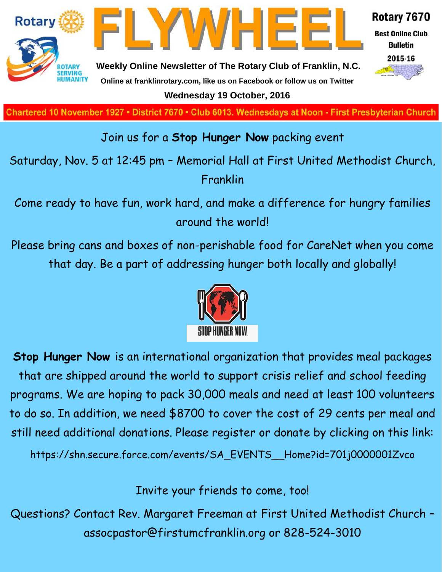

**Charted November 29, 1927 • District 7670 • Club 6013 Wednesdays at Noon - First Presbyterian Church**

### Join us for a **Stop Hunger Now** packing event

Saturday, Nov. 5 at 12:45 pm – Memorial Hall at First United Methodist Church, Franklin

Come ready to have fun, work hard, and make a difference for hungry families around the world!

Please bring cans and boxes of non-perishable food for CareNet when you come that day. Be a part of addressing hunger both locally and globally!



**Stop Hunger Now** is an international organization that provides meal packages that are shipped around the world to support crisis relief and school feeding programs. We are hoping to pack 30,000 meals and need at least 100 volunteers to do so. In addition, we need \$8700 to cover the cost of 29 cents per meal and still need additional donations. Please register or donate by clicking on this link:

https://shn.secure.force.com/events/SA\_EVENTS\_\_Home?id=701j0000001Zvco

Invite your friends to come, too!

Questions? Contact Rev. Margaret Freeman at First United Methodist Church – assocpastor@firstumcfranklin.org or 828-524-3010